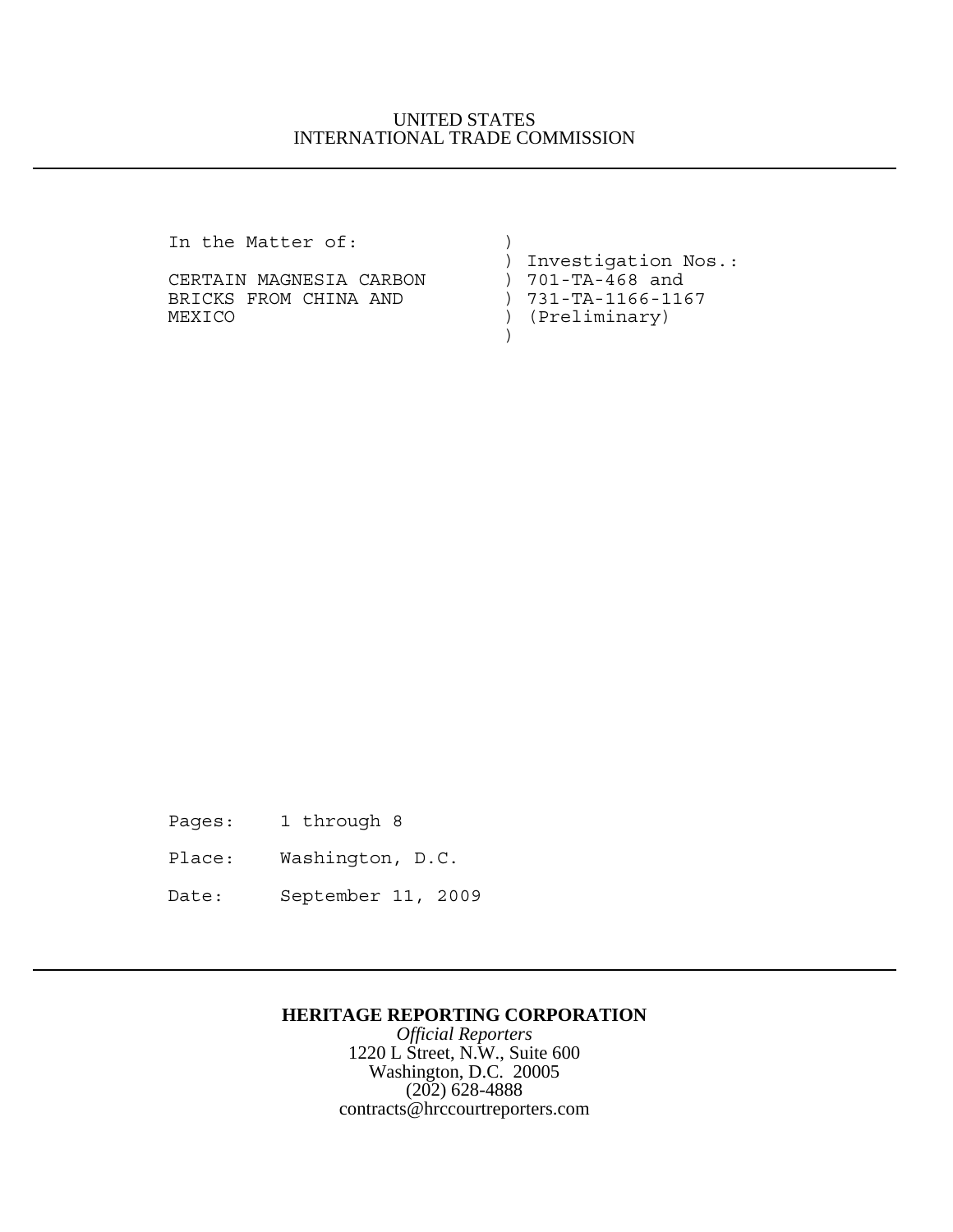## UNITED STATES INTERNATIONAL TRADE COMMISSION

In the Matter of:  $)$ 

CERTAIN MAGNESIA CARBON BRICKS FROM CHINA AND ) 731-TA-1166-1167 MEXICO ) (Preliminary)  $)$ 

) Investigation Nos.:<br>) 701-TA-468 and

Pages: 1 through 8

Place: Washington, D.C.

Date: September 11, 2009

## **HERITAGE REPORTING CORPORATION**

*Official Reporters* 1220 L Street, N.W., Suite 600 Washington, D.C. 20005 (202) 628-4888 contracts@hrccourtreporters.com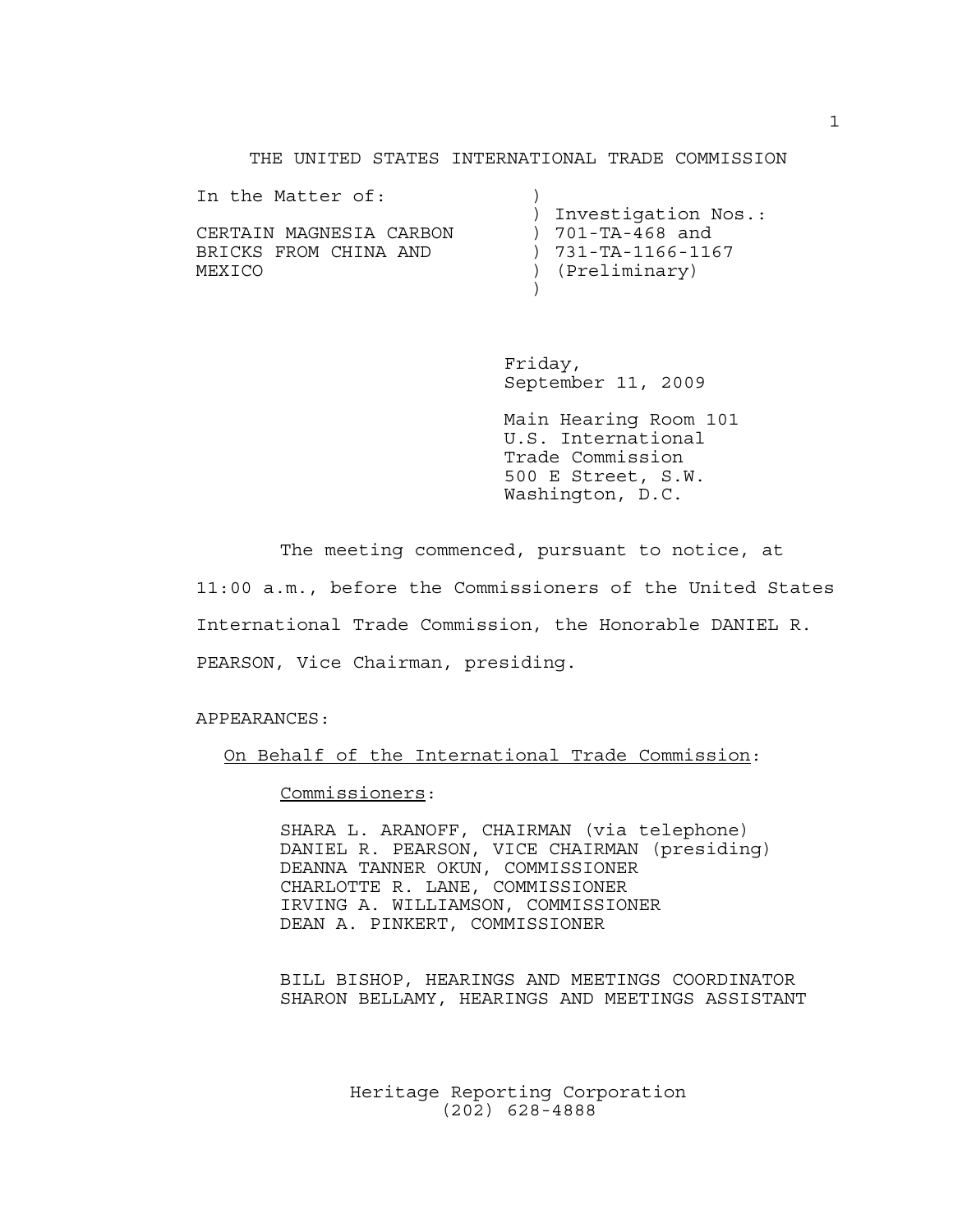### THE UNITED STATES INTERNATIONAL TRADE COMMISSION

| In the Matter of:       |                            |
|-------------------------|----------------------------|
|                         | ) Investigation Nos.:      |
| CERTAIN MAGNESIA CARBON | ) 701-TA-468 and           |
| BRICKS FROM CHINA AND   | $) 731 - TA - 1166 - 1167$ |
| MEXICO                  | ) (Preliminary)            |
|                         |                            |

Friday, September 11, 2009

Main Hearing Room 101 U.S. International Trade Commission 500 E Street, S.W. Washington, D.C.

The meeting commenced, pursuant to notice, at 11:00 a.m., before the Commissioners of the United States International Trade Commission, the Honorable DANIEL R. PEARSON, Vice Chairman, presiding.

APPEARANCES:

On Behalf of the International Trade Commission:

Commissioners:

SHARA L. ARANOFF, CHAIRMAN (via telephone) DANIEL R. PEARSON, VICE CHAIRMAN (presiding) DEANNA TANNER OKUN, COMMISSIONER CHARLOTTE R. LANE, COMMISSIONER IRVING A. WILLIAMSON, COMMISSIONER DEAN A. PINKERT, COMMISSIONER

BILL BISHOP, HEARINGS AND MEETINGS COORDINATOR SHARON BELLAMY, HEARINGS AND MEETINGS ASSISTANT

> Heritage Reporting Corporation (202) 628-4888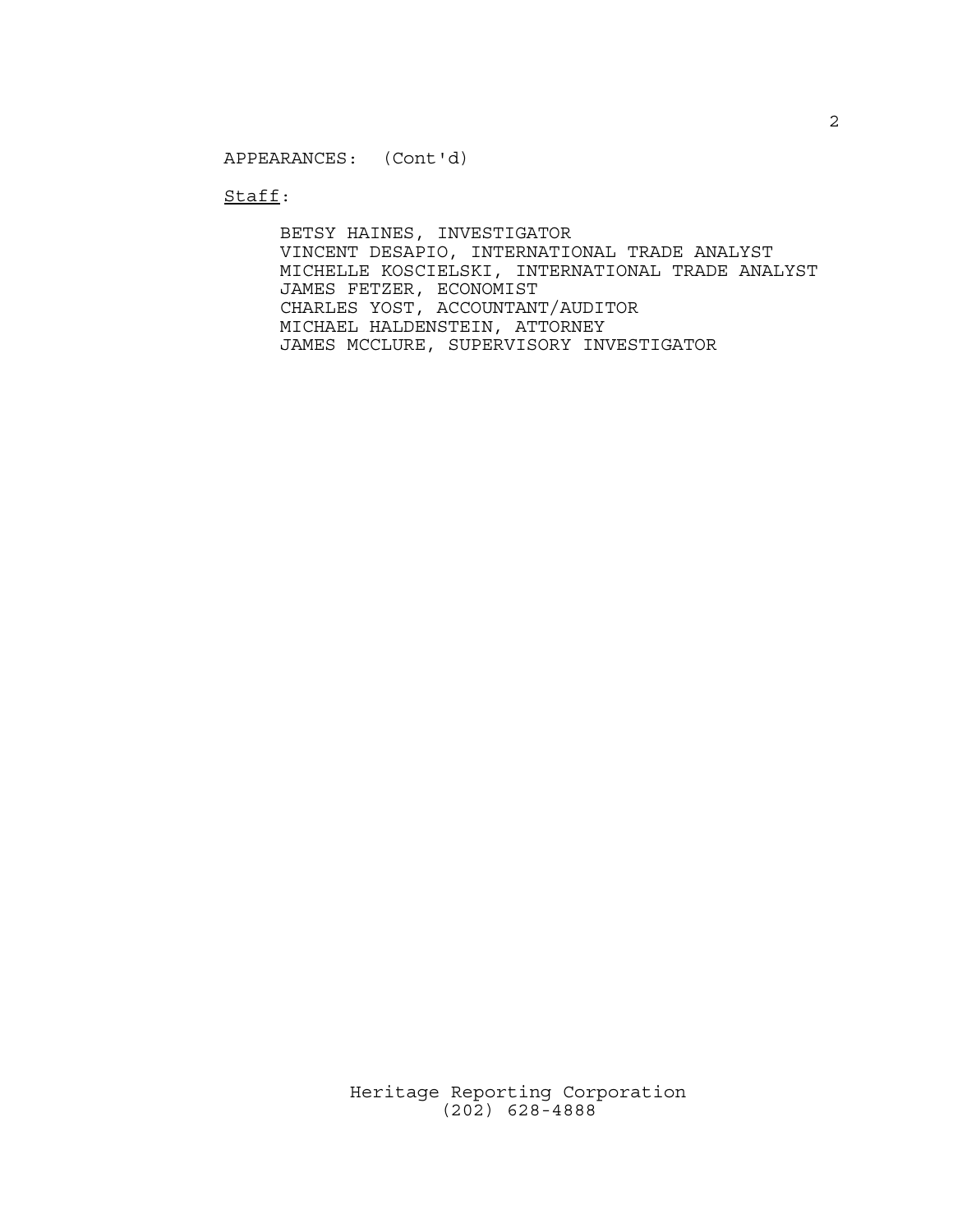Staff:

BETSY HAINES, INVESTIGATOR VINCENT DESAPIO, INTERNATIONAL TRADE ANALYST MICHELLE KOSCIELSKI, INTERNATIONAL TRADE ANALYST JAMES FETZER, ECONOMIST CHARLES YOST, ACCOUNTANT/AUDITOR MICHAEL HALDENSTEIN, ATTORNEY JAMES MCCLURE, SUPERVISORY INVESTIGATOR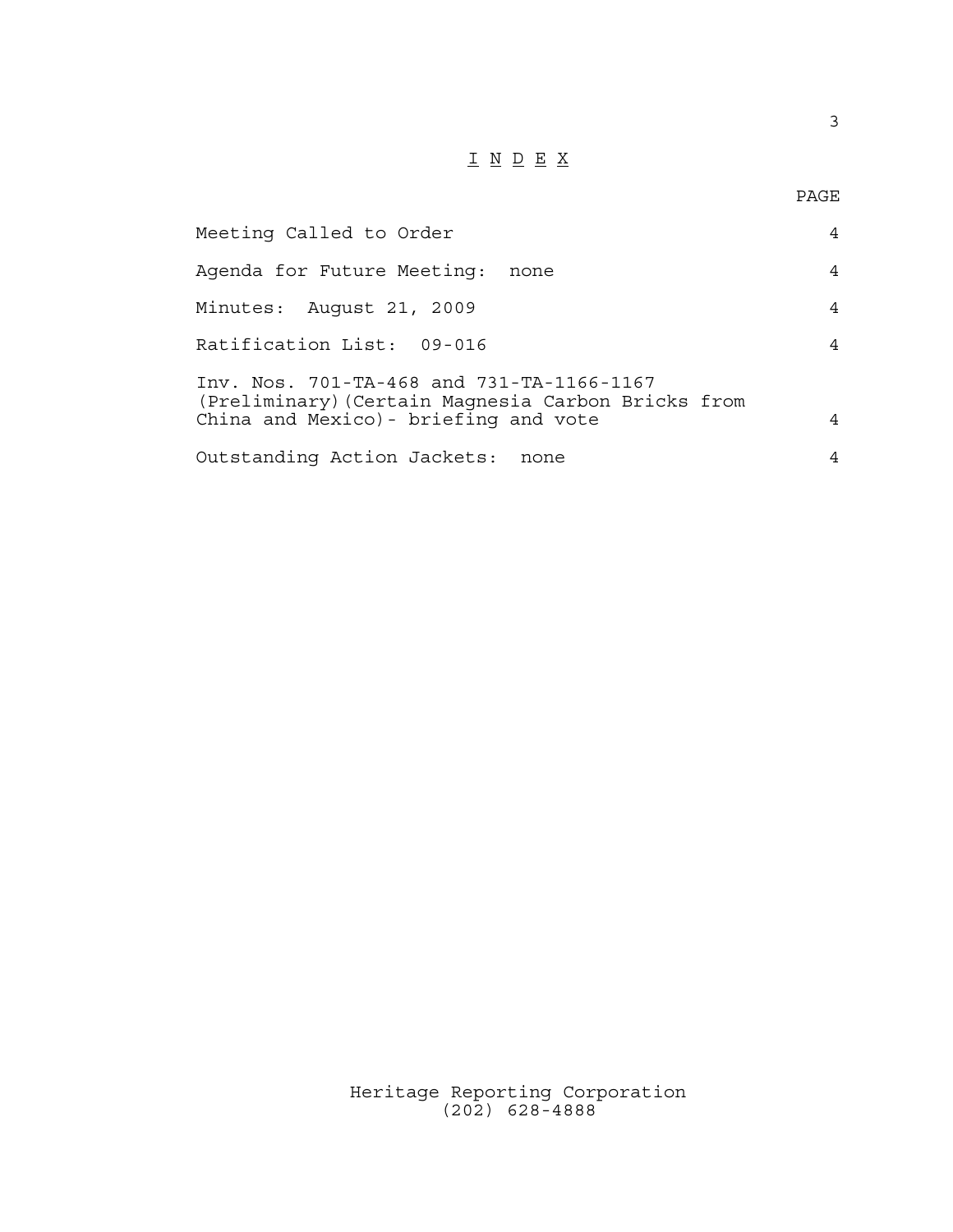# $\underline{\texttt{I}} \ \underline{\texttt{N}} \ \underline{\texttt{D}} \ \underline{\texttt{E}} \ \underline{\texttt{X}}$

| Meeting Called to Order                                                                                                                  | 4 |
|------------------------------------------------------------------------------------------------------------------------------------------|---|
| Agenda for Future Meeting:<br>none                                                                                                       | 4 |
| Minutes: August 21, 2009                                                                                                                 | 4 |
| Ratification List: 09-016                                                                                                                | 4 |
| Inv. Nos. 701-TA-468 and 731-TA-1166-1167<br>(Preliminary) (Certain Magnesia Carbon Bricks from<br>China and Mexico) - briefing and vote | 4 |
| Outstanding Action Jackets:<br>none                                                                                                      | 4 |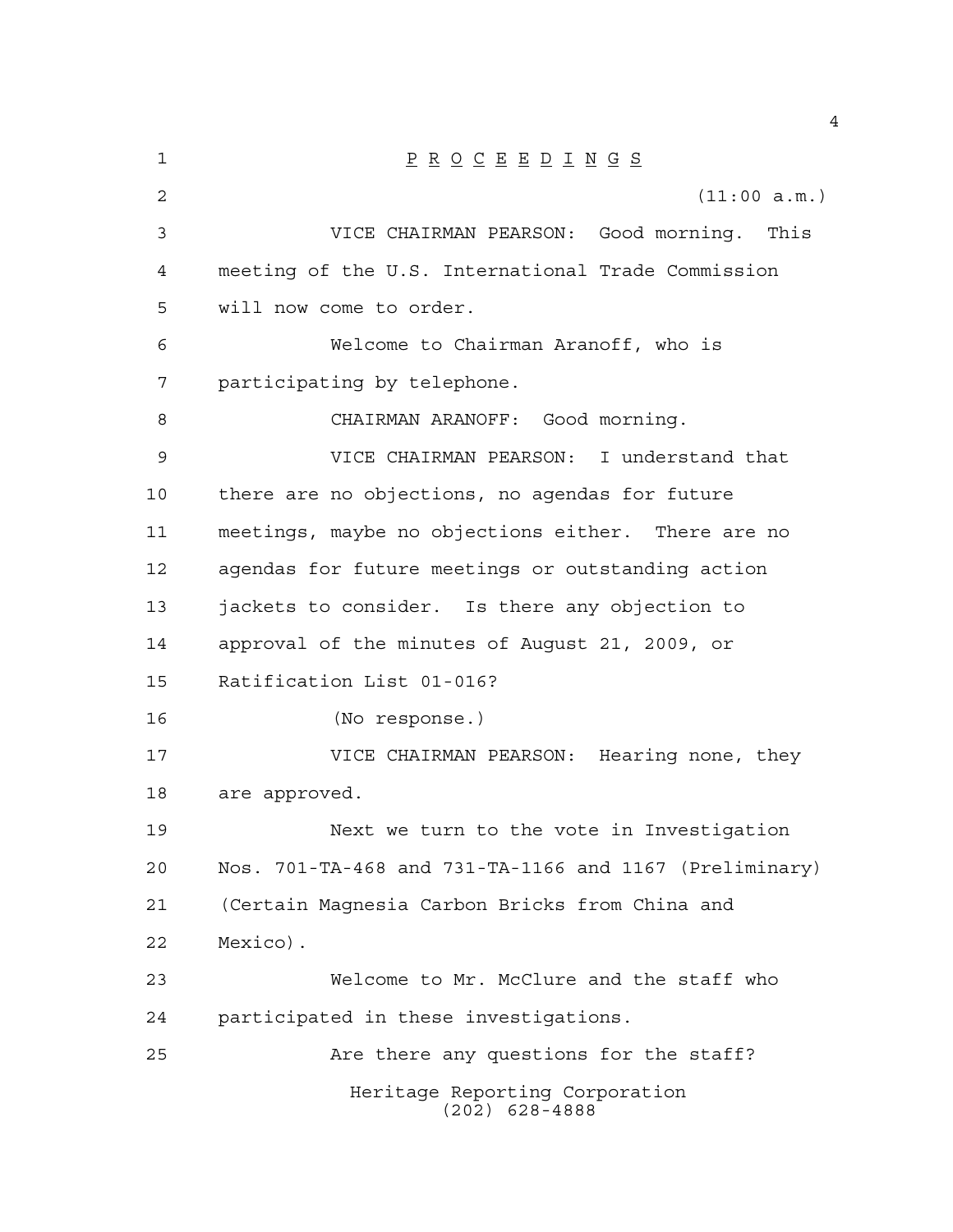| $\mathbf 1$    | $\underline{P} \underline{R} \underline{O} \underline{C} \underline{E} \underline{E} \underline{D} \underline{I} \underline{N} \underline{G} \underline{S}$ |
|----------------|-------------------------------------------------------------------------------------------------------------------------------------------------------------|
| $\overline{2}$ | (11:00 a.m.)                                                                                                                                                |
| 3              | VICE CHAIRMAN PEARSON: Good morning. This                                                                                                                   |
| $\overline{4}$ | meeting of the U.S. International Trade Commission                                                                                                          |
| 5              | will now come to order.                                                                                                                                     |
| 6              | Welcome to Chairman Aranoff, who is                                                                                                                         |
| 7              | participating by telephone.                                                                                                                                 |
| 8              | CHAIRMAN ARANOFF: Good morning.                                                                                                                             |
| 9              | VICE CHAIRMAN PEARSON: I understand that                                                                                                                    |
| 10             | there are no objections, no agendas for future                                                                                                              |
| 11             | meetings, maybe no objections either. There are no                                                                                                          |
| 12             | agendas for future meetings or outstanding action                                                                                                           |
| 13             | jackets to consider. Is there any objection to                                                                                                              |
| 14             | approval of the minutes of August 21, 2009, or                                                                                                              |
| 15             | Ratification List 01-016?                                                                                                                                   |
| 16             | (No response.)                                                                                                                                              |
| 17             | VICE CHAIRMAN PEARSON: Hearing none, they                                                                                                                   |
| 18             | are approved.                                                                                                                                               |
| 19             | Next we turn to the vote in Investigation                                                                                                                   |
| 20             | Nos. 701-TA-468 and 731-TA-1166 and 1167 (Preliminary)                                                                                                      |
| 21             | (Certain Magnesia Carbon Bricks from China and                                                                                                              |
| 22             | Mexico).                                                                                                                                                    |
| 23             | Welcome to Mr. McClure and the staff who                                                                                                                    |
| 24             | participated in these investigations.                                                                                                                       |
| 25             | Are there any questions for the staff?                                                                                                                      |
|                | Heritage Reporting Corporation<br>$(202)$ 628-4888                                                                                                          |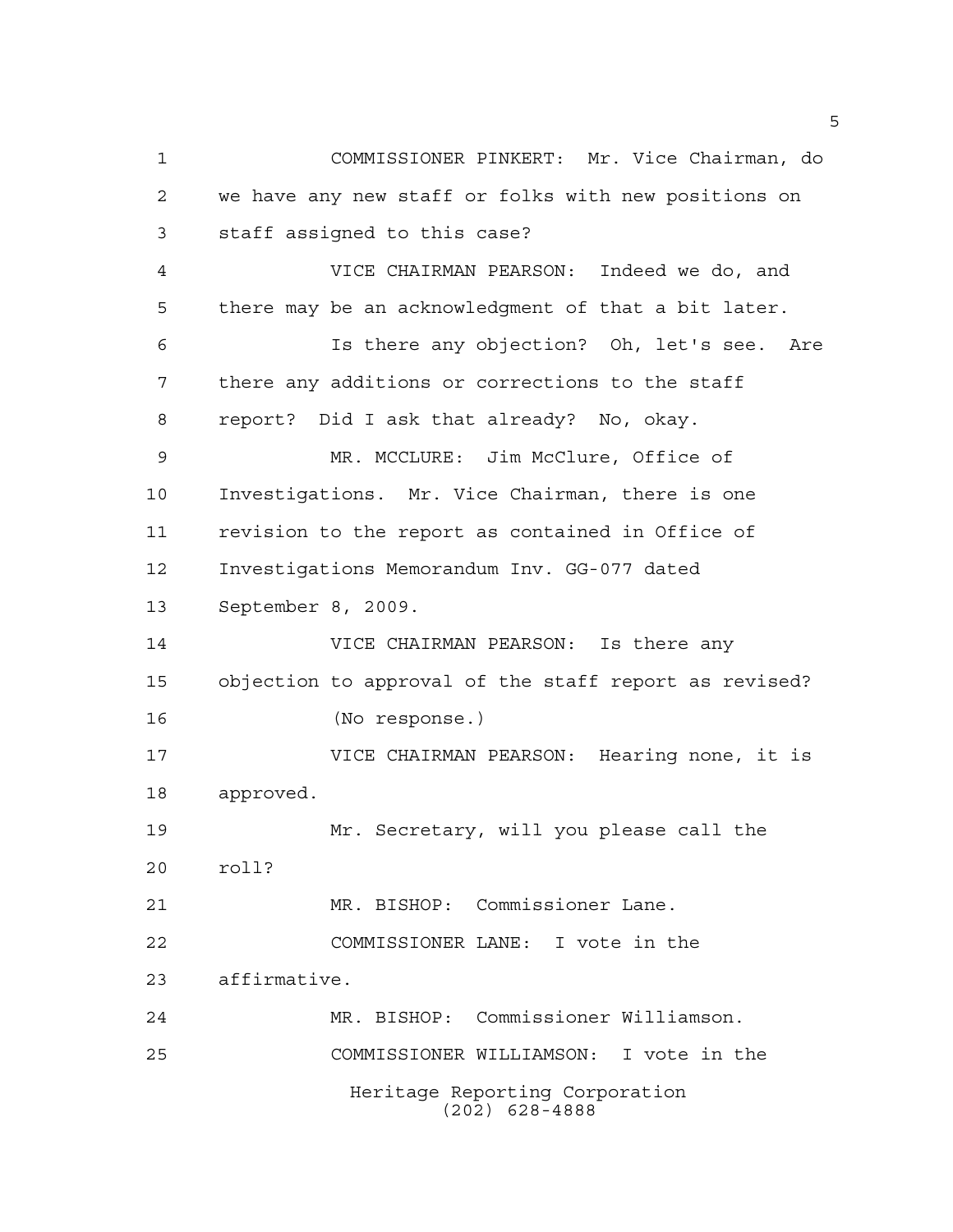Heritage Reporting Corporation (202) 628-4888 COMMISSIONER PINKERT: Mr. Vice Chairman, do we have any new staff or folks with new positions on staff assigned to this case? VICE CHAIRMAN PEARSON: Indeed we do, and there may be an acknowledgment of that a bit later. Is there any objection? Oh, let's see. Are there any additions or corrections to the staff report? Did I ask that already? No, okay. MR. MCCLURE: Jim McClure, Office of Investigations. Mr. Vice Chairman, there is one revision to the report as contained in Office of Investigations Memorandum Inv. GG-077 dated September 8, 2009. VICE CHAIRMAN PEARSON: Is there any objection to approval of the staff report as revised? (No response.) VICE CHAIRMAN PEARSON: Hearing none, it is approved. Mr. Secretary, will you please call the roll? MR. BISHOP: Commissioner Lane. COMMISSIONER LANE: I vote in the affirmative. MR. BISHOP: Commissioner Williamson. COMMISSIONER WILLIAMSON: I vote in the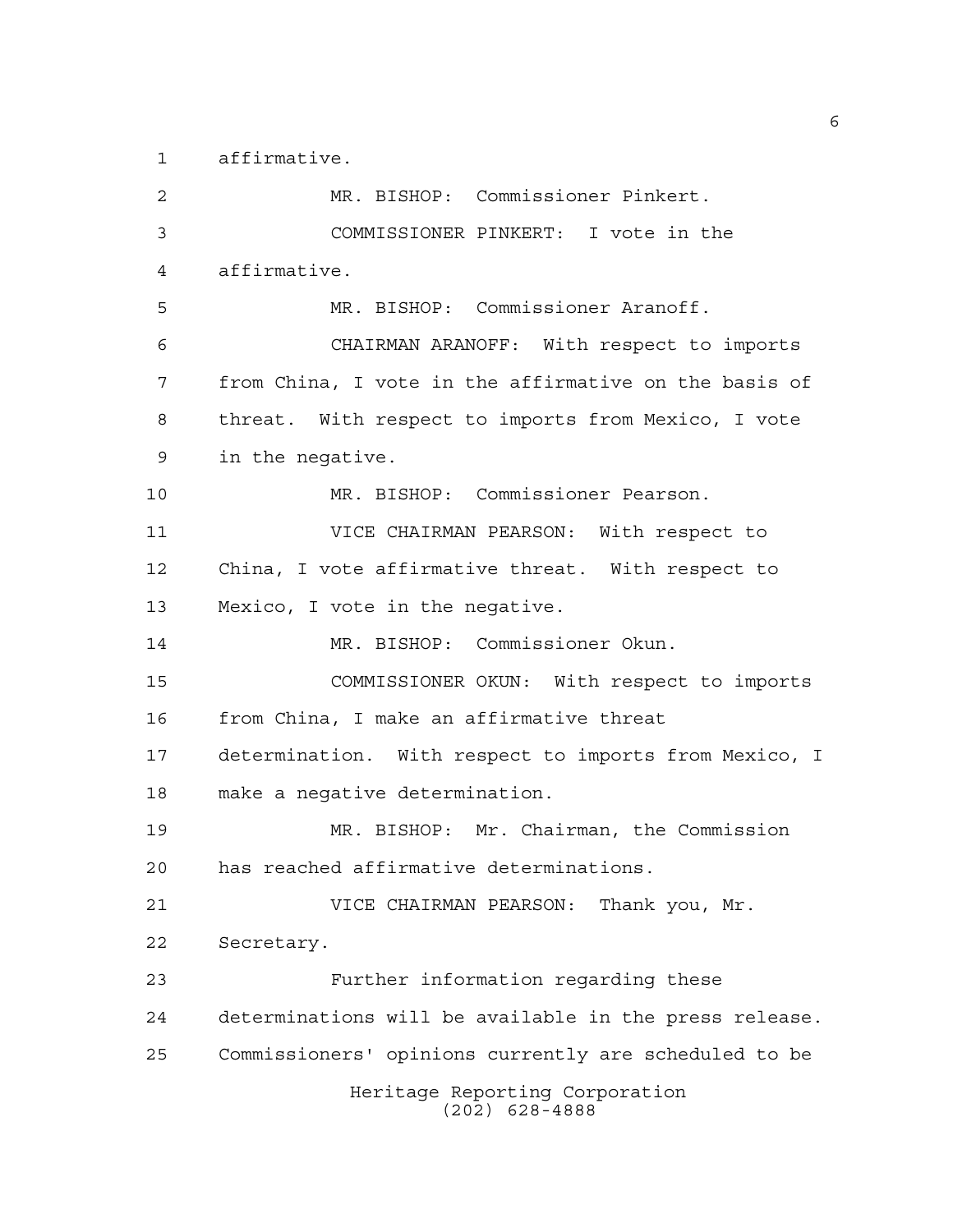affirmative.

Heritage Reporting Corporation (202) 628-4888 MR. BISHOP: Commissioner Pinkert. COMMISSIONER PINKERT: I vote in the affirmative. MR. BISHOP: Commissioner Aranoff. CHAIRMAN ARANOFF: With respect to imports from China, I vote in the affirmative on the basis of threat. With respect to imports from Mexico, I vote in the negative. MR. BISHOP: Commissioner Pearson. VICE CHAIRMAN PEARSON: With respect to China, I vote affirmative threat. With respect to Mexico, I vote in the negative. MR. BISHOP: Commissioner Okun. COMMISSIONER OKUN: With respect to imports from China, I make an affirmative threat determination. With respect to imports from Mexico, I make a negative determination. MR. BISHOP: Mr. Chairman, the Commission has reached affirmative determinations. VICE CHAIRMAN PEARSON: Thank you, Mr. Secretary. Further information regarding these determinations will be available in the press release. Commissioners' opinions currently are scheduled to be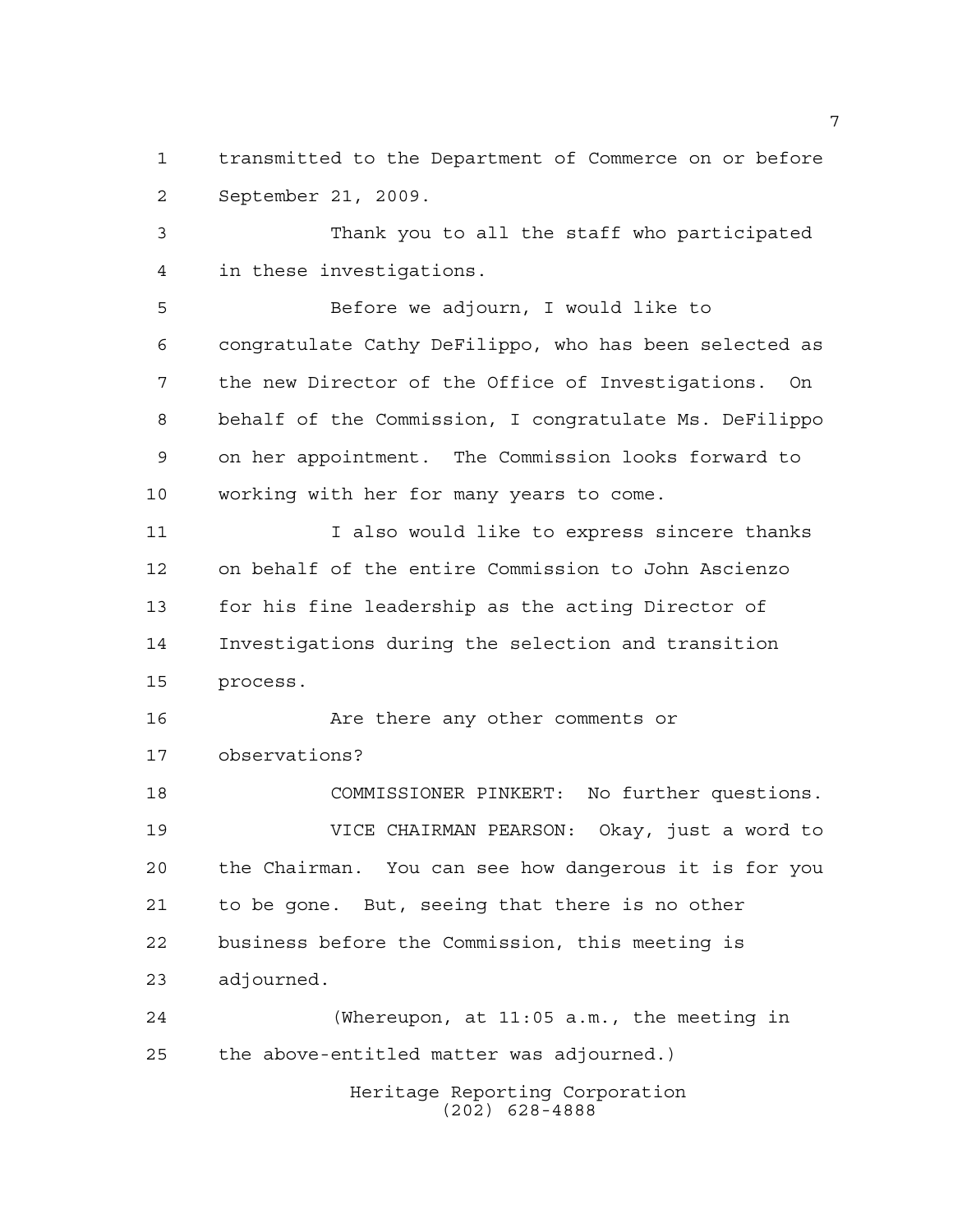transmitted to the Department of Commerce on or before September 21, 2009.

 Thank you to all the staff who participated in these investigations.

 Before we adjourn, I would like to congratulate Cathy DeFilippo, who has been selected as the new Director of the Office of Investigations. On behalf of the Commission, I congratulate Ms. DeFilippo on her appointment. The Commission looks forward to working with her for many years to come.

11 12 I also would like to express sincere thanks on behalf of the entire Commission to John Ascienzo for his fine leadership as the acting Director of Investigations during the selection and transition process.

 Are there any other comments or observations? COMMISSIONER PINKERT: No further questions.

 VICE CHAIRMAN PEARSON: Okay, just a word to the Chairman. You can see how dangerous it is for you to be gone. But, seeing that there is no other business before the Commission, this meeting is adjourned.

Heritage Reporting Corporation (Whereupon, at 11:05 a.m., the meeting in the above-entitled matter was adjourned.)

(202) 628-4888